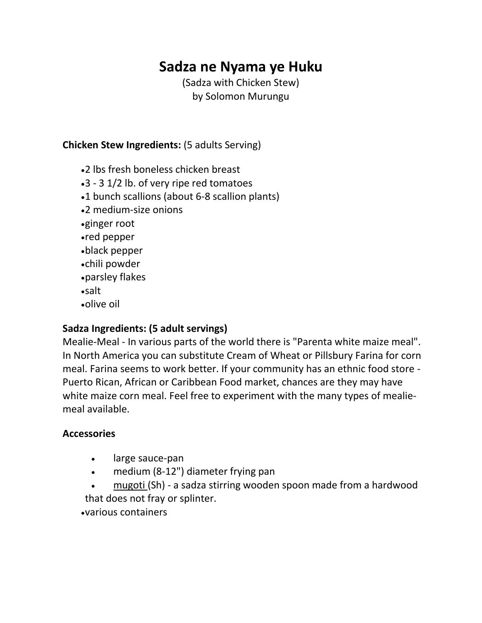# **Sadza ne Nyama ye Huku**

(Sadza with Chicken Stew) by Solomon Murungu

#### **Chicken Stew Ingredients:** (5 adults Serving)

- 2 lbs fresh boneless chicken breast
- 3 3 1/2 lb. of very ripe red tomatoes
- 1 bunch scallions (about 6-8 scallion plants)
- 2 medium-size onions
- ginger root
- red pepper
- black pepper
- chili powder
- parsley flakes
- salt
- olive oil

### **Sadza Ingredients: (5 adult servings)**

Mealie-Meal - In various parts of the world there is "Parenta white maize meal". In North America you can substitute Cream of Wheat or Pillsbury Farina for corn meal. Farina seems to work better. If your community has an ethnic food store - Puerto Rican, African or Caribbean Food market, chances are they may have white maize corn meal. Feel free to experiment with the many types of mealiemeal available.

#### **Accessories**

- large sauce-pan
- medium (8-12") diameter frying pan
- [mugoti \(](http://www.zambuko.com/mbira01/resource_guide/pages/mugoti.html)Sh) a sadza stirring wooden spoon made from a hardwood that does not fray or splinter.

various containers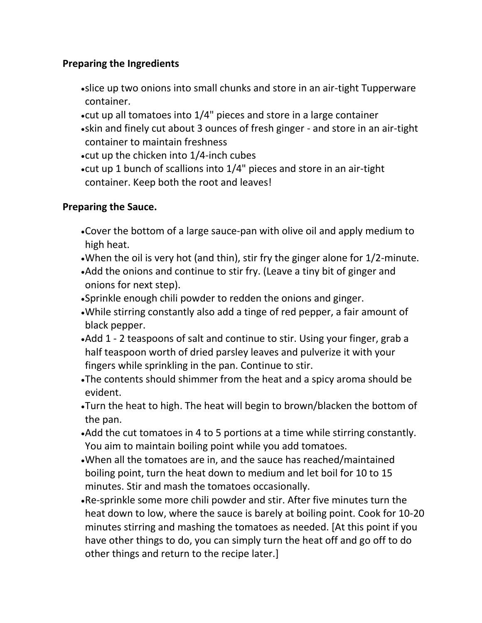### **Preparing the Ingredients**

- slice up two onions into small chunks and store in an air-tight Tupperware container.
- cut up all tomatoes into 1/4" pieces and store in a large container
- skin and finely cut about 3 ounces of fresh ginger and store in an air-tight container to maintain freshness
- cut up the chicken into 1/4-inch cubes
- cut up 1 bunch of scallions into 1/4" pieces and store in an air-tight container. Keep both the root and leaves!

### **Preparing the Sauce.**

- Cover the bottom of a large sauce-pan with olive oil and apply medium to high heat.
- When the oil is very hot (and thin), stir fry the ginger alone for 1/2-minute.
- Add the onions and continue to stir fry. (Leave a tiny bit of ginger and onions for next step).
- Sprinkle enough chili powder to redden the onions and ginger.
- While stirring constantly also add a tinge of red pepper, a fair amount of black pepper.
- Add 1 2 teaspoons of salt and continue to stir. Using your finger, grab a half teaspoon worth of dried parsley leaves and pulverize it with your fingers while sprinkling in the pan. Continue to stir.
- The contents should shimmer from the heat and a spicy aroma should be evident.
- Turn the heat to high. The heat will begin to brown/blacken the bottom of the pan.
- Add the cut tomatoes in 4 to 5 portions at a time while stirring constantly. You aim to maintain boiling point while you add tomatoes.
- When all the tomatoes are in, and the sauce has reached/maintained boiling point, turn the heat down to medium and let boil for 10 to 15 minutes. Stir and mash the tomatoes occasionally.
- Re-sprinkle some more chili powder and stir. After five minutes turn the heat down to low, where the sauce is barely at boiling point. Cook for 10-20 minutes stirring and mashing the tomatoes as needed. [At this point if you have other things to do, you can simply turn the heat off and go off to do other things and return to the recipe later.]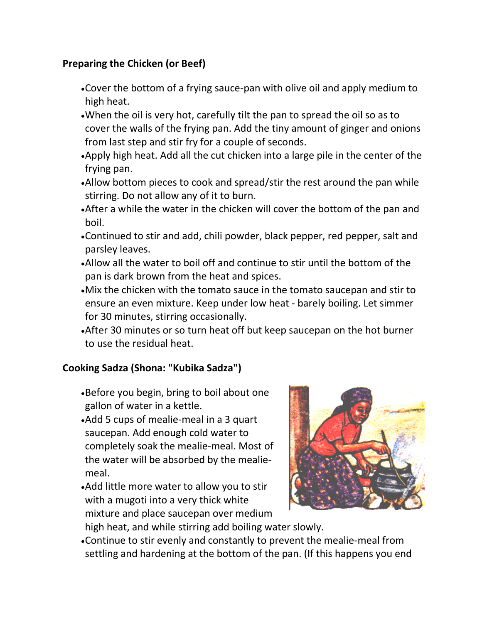## **Preparing the Chicken (or Beef)**

- Cover the bottom of a frying sauce-pan with olive oil and apply medium to high heat.
- When the oil is very hot, carefully tilt the pan to spread the oil so as to cover the walls of the frying pan. Add the tiny amount of ginger and onions from last step and stir fry for a couple of seconds.
- Apply high heat. Add all the cut chicken into a large pile in the center of the frying pan.
- Allow bottom pieces to cook and spread/stir the rest around the pan while stirring. Do not allow any of it to burn.
- After a while the water in the chicken will cover the bottom of the pan and boil.
- Continued to stir and add, chili powder, black pepper, red pepper, salt and parsley leaves.
- Allow all the water to boil off and continue to stir until the bottom of the pan is dark brown from the heat and spices.
- Mix the chicken with the tomato sauce in the tomato saucepan and stir to ensure an even mixture. Keep under low heat - barely boiling. Let simmer for 30 minutes, stirring occasionally.
- After 30 minutes or so turn heat off but keep saucepan on the hot burner to use the residual heat.

### **Cooking Sadza (Shona: "Kubika Sadza")**

- Before you begin, bring to boil about one gallon of water in a kettle.
- Add 5 cups of mealie-meal in a 3 quart saucepan. Add enough cold water to completely soak the mealie-meal. Most of the water will be absorbed by the mealiemeal.
- Add little more water to allow you to stir with a mugoti into a very thick white mixture and place saucepan over medium



high heat, and while stirring add boiling water slowly.

Continue to stir evenly and constantly to prevent the mealie-meal from settling and hardening at the bottom of the pan. (If this happens you end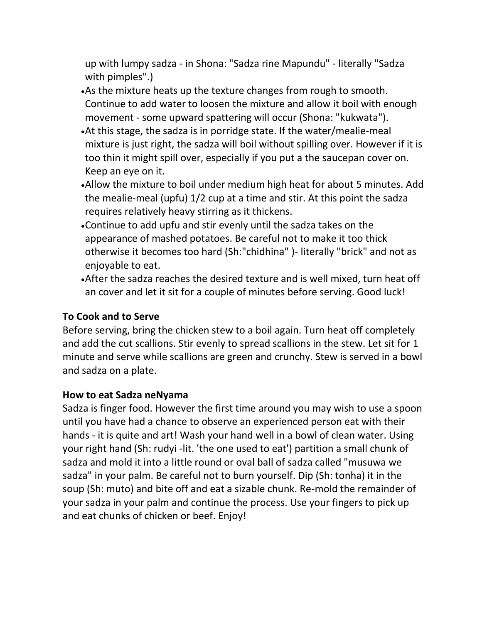up with lumpy sadza - in Shona: "Sadza rine Mapundu" - literally "Sadza with pimples".)

- As the mixture heats up the texture changes from rough to smooth. Continue to add water to loosen the mixture and allow it boil with enough movement - some upward spattering will occur (Shona: "kukwata").
- At this stage, the sadza is in porridge state. If the water/mealie-meal mixture is just right, the sadza will boil without spilling over. However if it is too thin it might spill over, especially if you put a the saucepan cover on. Keep an eye on it.
- Allow the mixture to boil under medium high heat for about 5 minutes. Add the mealie-meal (upfu) 1/2 cup at a time and stir. At this point the sadza requires relatively heavy stirring as it thickens.
- Continue to add upfu and stir evenly until the sadza takes on the appearance of mashed potatoes. Be careful not to make it too thick otherwise it becomes too hard (Sh:"chidhina" )- literally "brick" and not as enjoyable to eat.
- After the sadza reaches the desired texture and is well mixed, turn heat off an cover and let it sit for a couple of minutes before serving. Good luck!

### **To Cook and to Serve**

Before serving, bring the chicken stew to a boil again. Turn heat off completely and add the cut scallions. Stir evenly to spread scallions in the stew. Let sit for 1 minute and serve while scallions are green and crunchy. Stew is served in a bowl and sadza on a plate.

### **How to eat Sadza neNyama**

Sadza is finger food. However the first time around you may wish to use a spoon until you have had a chance to observe an experienced person eat with their hands - it is quite and art! Wash your hand well in a bowl of clean water. Using your right hand (Sh: rudyi -lit. 'the one used to eat') partition a small chunk of sadza and mold it into a little round or oval ball of sadza called "musuwa we sadza" in your palm. Be careful not to burn yourself. Dip (Sh: tonha) it in the soup (Sh: muto) and bite off and eat a sizable chunk. Re-mold the remainder of your sadza in your palm and continue the process. Use your fingers to pick up and eat chunks of chicken or beef. Enjoy!